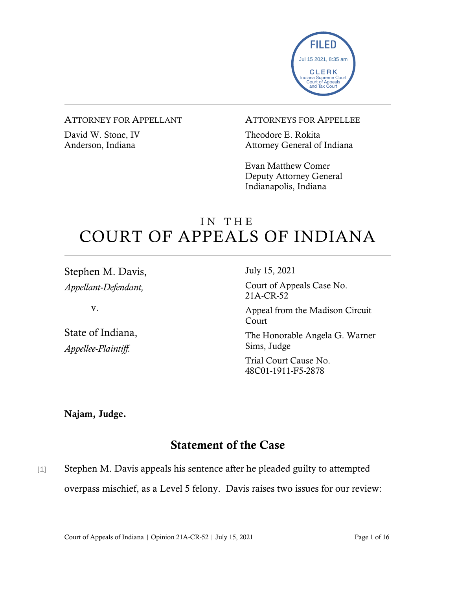

#### ATTORNEY FOR APPELLANT

David W. Stone, IV Anderson, Indiana

#### ATTORNEYS FOR APPELLEE

Theodore E. Rokita Attorney General of Indiana

Evan Matthew Comer Deputy Attorney General Indianapolis, Indiana

# IN THE COURT OF APPEALS OF INDIANA

Stephen M. Davis, *Appellant-Defendant,*

v.

State of Indiana, *Appellee-Plaintiff.* 

July 15, 2021

Court of Appeals Case No. 21A-CR-52

Appeal from the Madison Circuit Court

The Honorable Angela G. Warner Sims, Judge

Trial Court Cause No. 48C01-1911-F5-2878

Najam, Judge.

# Statement of the Case

[1] Stephen M. Davis appeals his sentence after he pleaded guilty to attempted overpass mischief, as a Level 5 felony. Davis raises two issues for our review: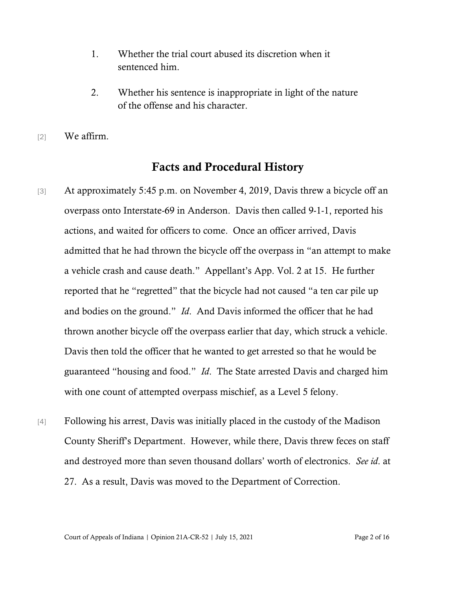- 1. Whether the trial court abused its discretion when it sentenced him.
- 2. Whether his sentence is inappropriate in light of the nature of the offense and his character.
- [2] We affirm.

## Facts and Procedural History

- [3] At approximately 5:45 p.m. on November 4, 2019, Davis threw a bicycle off an overpass onto Interstate-69 in Anderson. Davis then called 9-1-1, reported his actions, and waited for officers to come. Once an officer arrived, Davis admitted that he had thrown the bicycle off the overpass in "an attempt to make a vehicle crash and cause death." Appellant's App. Vol. 2 at 15. He further reported that he "regretted" that the bicycle had not caused "a ten car pile up and bodies on the ground." *Id*. And Davis informed the officer that he had thrown another bicycle off the overpass earlier that day, which struck a vehicle. Davis then told the officer that he wanted to get arrested so that he would be guaranteed "housing and food." *Id*. The State arrested Davis and charged him with one count of attempted overpass mischief, as a Level 5 felony.
- [4] Following his arrest, Davis was initially placed in the custody of the Madison County Sheriff's Department. However, while there, Davis threw feces on staff and destroyed more than seven thousand dollars' worth of electronics. *See id*. at 27. As a result, Davis was moved to the Department of Correction.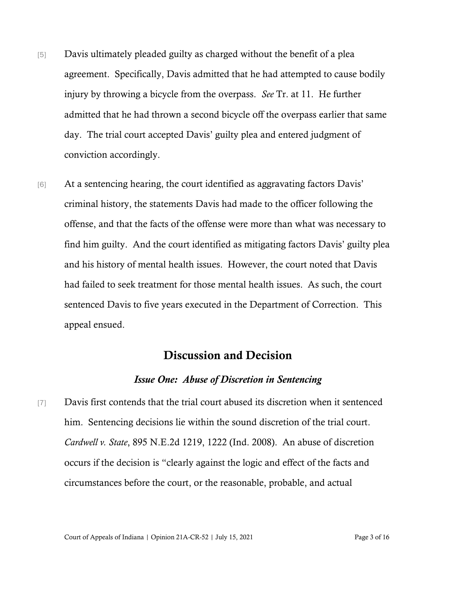- [5] Davis ultimately pleaded guilty as charged without the benefit of a plea agreement. Specifically, Davis admitted that he had attempted to cause bodily injury by throwing a bicycle from the overpass. *See* Tr. at 11. He further admitted that he had thrown a second bicycle off the overpass earlier that same day. The trial court accepted Davis' guilty plea and entered judgment of conviction accordingly.
- [6] At a sentencing hearing, the court identified as aggravating factors Davis' criminal history, the statements Davis had made to the officer following the offense, and that the facts of the offense were more than what was necessary to find him guilty. And the court identified as mitigating factors Davis' guilty plea and his history of mental health issues. However, the court noted that Davis had failed to seek treatment for those mental health issues. As such, the court sentenced Davis to five years executed in the Department of Correction. This appeal ensued.

# Discussion and Decision

### *Issue One: Abuse of Discretion in Sentencing*

[7] Davis first contends that the trial court abused its discretion when it sentenced him. Sentencing decisions lie within the sound discretion of the trial court. *Cardwell v. State*, 895 N.E.2d 1219, 1222 (Ind. 2008). An abuse of discretion occurs if the decision is "clearly against the logic and effect of the facts and circumstances before the court, or the reasonable, probable, and actual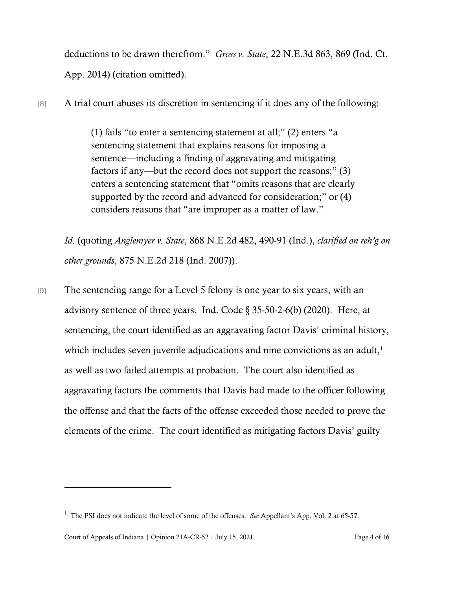deductions to be drawn therefrom." *Gross v. State*, 22 N.E.3d 863, 869 (Ind. Ct. App. 2014) (citation omitted).

[8] A trial court abuses its discretion in sentencing if it does any of the following:

(1) fails "to enter a sentencing statement at all;" (2) enters "a sentencing statement that explains reasons for imposing a sentence—including a finding of aggravating and mitigating factors if any—but the record does not support the reasons;" (3) enters a sentencing statement that "omits reasons that are clearly supported by the record and advanced for consideration;" or (4) considers reasons that "are improper as a matter of law."

*Id*. (quoting *Anglemyer v. State*, 868 N.E.2d 482, 490-91 (Ind.), *clarified on reh'g on other grounds*, 875 N.E.2d 218 (Ind. 2007)).

[9] The sentencing range for a Level 5 felony is one year to six years, with an advisory sentence of three years. Ind. Code  $\S 35-50-2-6(b)$  (2020). Here, at sentencing, the court identified as an aggravating factor Davis' criminal history, which includes seven juvenile adjudications and nine convictions as an adult,<sup>[1](#page-3-0)</sup> as well as two failed attempts at probation. The court also identified as aggravating factors the comments that Davis had made to the officer following the offense and that the facts of the offense exceeded those needed to prove the elements of the crime. The court identified as mitigating factors Davis' guilty

<span id="page-3-0"></span><sup>&</sup>lt;sup>1</sup> The PSI does not indicate the level of some of the offenses. *See* Appellant's App. Vol. 2 at 65-57.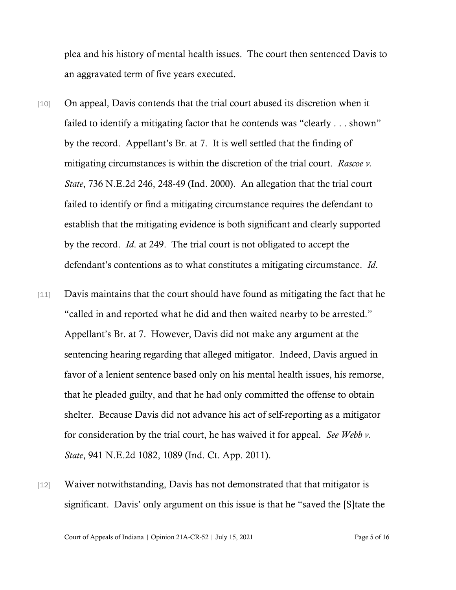plea and his history of mental health issues. The court then sentenced Davis to an aggravated term of five years executed.

- [10] On appeal, Davis contends that the trial court abused its discretion when it failed to identify a mitigating factor that he contends was "clearly . . . shown" by the record. Appellant's Br. at 7. It is well settled that the finding of mitigating circumstances is within the discretion of the trial court. *Rascoe v. State*, 736 N.E.2d 246, 248-49 (Ind. 2000). An allegation that the trial court failed to identify or find a mitigating circumstance requires the defendant to establish that the mitigating evidence is both significant and clearly supported by the record. *Id*. at 249. The trial court is not obligated to accept the defendant's contentions as to what constitutes a mitigating circumstance. *Id*.
- [11] Davis maintains that the court should have found as mitigating the fact that he "called in and reported what he did and then waited nearby to be arrested." Appellant's Br. at 7. However, Davis did not make any argument at the sentencing hearing regarding that alleged mitigator. Indeed, Davis argued in favor of a lenient sentence based only on his mental health issues, his remorse, that he pleaded guilty, and that he had only committed the offense to obtain shelter. Because Davis did not advance his act of self-reporting as a mitigator for consideration by the trial court, he has waived it for appeal. *See Webb v. State*, 941 N.E.2d 1082, 1089 (Ind. Ct. App. 2011).
- [12] Waiver notwithstanding, Davis has not demonstrated that that mitigator is significant. Davis' only argument on this issue is that he "saved the [S]tate the

Court of Appeals of Indiana | Opinion 21A-CR-52 | July 15, 2021 Page 5 of 16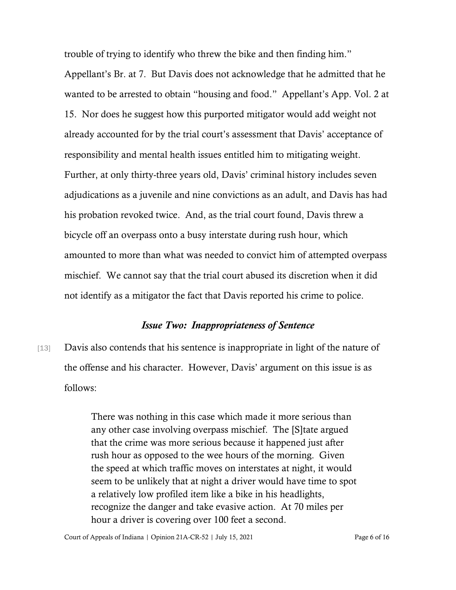trouble of trying to identify who threw the bike and then finding him." Appellant's Br. at 7. But Davis does not acknowledge that he admitted that he wanted to be arrested to obtain "housing and food." Appellant's App. Vol. 2 at 15. Nor does he suggest how this purported mitigator would add weight not already accounted for by the trial court's assessment that Davis' acceptance of responsibility and mental health issues entitled him to mitigating weight. Further, at only thirty-three years old, Davis' criminal history includes seven adjudications as a juvenile and nine convictions as an adult, and Davis has had his probation revoked twice. And, as the trial court found, Davis threw a bicycle off an overpass onto a busy interstate during rush hour, which amounted to more than what was needed to convict him of attempted overpass mischief. We cannot say that the trial court abused its discretion when it did not identify as a mitigator the fact that Davis reported his crime to police.

## *Issue Two: Inappropriateness of Sentence*

[13] Davis also contends that his sentence is inappropriate in light of the nature of the offense and his character. However, Davis' argument on this issue is as follows:

> There was nothing in this case which made it more serious than any other case involving overpass mischief. The [S]tate argued that the crime was more serious because it happened just after rush hour as opposed to the wee hours of the morning. Given the speed at which traffic moves on interstates at night, it would seem to be unlikely that at night a driver would have time to spot a relatively low profiled item like a bike in his headlights, recognize the danger and take evasive action. At 70 miles per hour a driver is covering over 100 feet a second.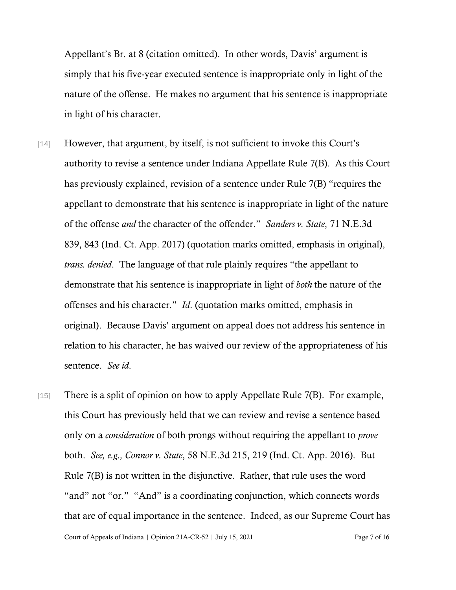Appellant's Br. at 8 (citation omitted). In other words, Davis' argument is simply that his five-year executed sentence is inappropriate only in light of the nature of the offense. He makes no argument that his sentence is inappropriate in light of his character.

- [14] However, that argument, by itself, is not sufficient to invoke this Court's authority to revise a sentence under Indiana Appellate Rule 7(B). As this Court has previously explained, revision of a sentence under Rule 7(B) "requires the appellant to demonstrate that his sentence is inappropriate in light of the nature of the offense *and* the character of the offender." *Sanders v. State*, 71 N.E.3d 839, 843 (Ind. Ct. App. 2017) (quotation marks omitted, emphasis in original), *trans. denied*. The language of that rule plainly requires "the appellant to demonstrate that his sentence is inappropriate in light of *both* the nature of the offenses and his character." *Id*. (quotation marks omitted, emphasis in original). Because Davis' argument on appeal does not address his sentence in relation to his character, he has waived our review of the appropriateness of his sentence. *See id*.
- Court of Appeals of Indiana | Opinion 21A-CR-52 | July 15, 2021 Page 7 of 16 [15] There is a split of opinion on how to apply Appellate Rule  $7(B)$ . For example, this Court has previously held that we can review and revise a sentence based only on a *consideration* of both prongs without requiring the appellant to *prove* both. *See, e.g., Connor v. State*, 58 N.E.3d 215, 219 (Ind. Ct. App. 2016). But Rule 7(B) is not written in the disjunctive. Rather, that rule uses the word "and" not "or." "And" is a coordinating conjunction, which connects words that are of equal importance in the sentence. Indeed, as our Supreme Court has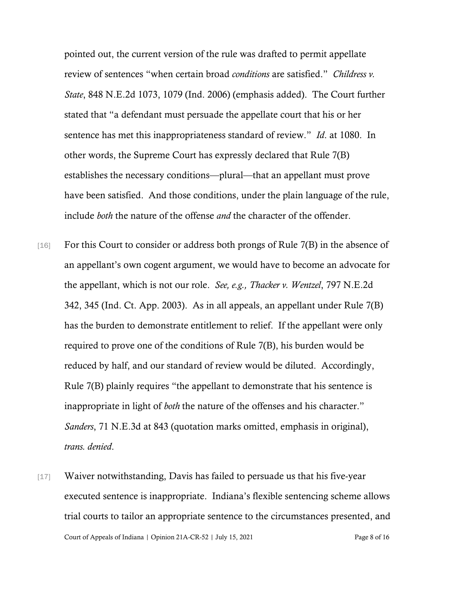pointed out, the current version of the rule was drafted to permit appellate review of sentences "when certain broad *conditions* are satisfied." *Childress v. State*, 848 N.E.2d 1073, 1079 (Ind. 2006) (emphasis added). The Court further stated that "a defendant must persuade the appellate court that his or her sentence has met this inappropriateness standard of review." *Id*. at 1080. In other words, the Supreme Court has expressly declared that Rule 7(B) establishes the necessary conditions—plural—that an appellant must prove have been satisfied. And those conditions, under the plain language of the rule, include *both* the nature of the offense *and* the character of the offender.

- [16] For this Court to consider or address both prongs of Rule 7(B) in the absence of an appellant's own cogent argument, we would have to become an advocate for the appellant, which is not our role. *See, e.g., Thacker v. Wentzel*, 797 N.E.2d 342, 345 (Ind. Ct. App. 2003). As in all appeals, an appellant under Rule 7(B) has the burden to demonstrate entitlement to relief. If the appellant were only required to prove one of the conditions of Rule 7(B), his burden would be reduced by half, and our standard of review would be diluted. Accordingly, Rule 7(B) plainly requires "the appellant to demonstrate that his sentence is inappropriate in light of *both* the nature of the offenses and his character." *Sanders*, 71 N.E.3d at 843 (quotation marks omitted, emphasis in original), *trans. denied*.
- Court of Appeals of Indiana | Opinion 21A-CR-52 | July 15, 2021 Page 8 of 16 [17] Waiver notwithstanding, Davis has failed to persuade us that his five-year executed sentence is inappropriate. Indiana's flexible sentencing scheme allows trial courts to tailor an appropriate sentence to the circumstances presented, and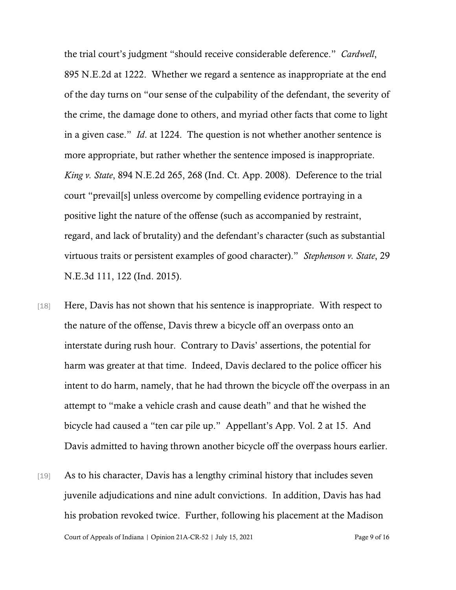the trial court's judgment "should receive considerable deference." *Cardwell*, 895 N.E.2d at 1222. Whether we regard a sentence as inappropriate at the end of the day turns on "our sense of the culpability of the defendant, the severity of the crime, the damage done to others, and myriad other facts that come to light in a given case." *Id*. at 1224. The question is not whether another sentence is more appropriate, but rather whether the sentence imposed is inappropriate. *King v. State*, 894 N.E.2d 265, 268 (Ind. Ct. App. 2008). Deference to the trial court "prevail[s] unless overcome by compelling evidence portraying in a positive light the nature of the offense (such as accompanied by restraint, regard, and lack of brutality) and the defendant's character (such as substantial virtuous traits or persistent examples of good character)." *Stephenson v. State*, 29 N.E.3d 111, 122 (Ind. 2015).

- [18] Here, Davis has not shown that his sentence is inappropriate. With respect to the nature of the offense, Davis threw a bicycle off an overpass onto an interstate during rush hour. Contrary to Davis' assertions, the potential for harm was greater at that time. Indeed, Davis declared to the police officer his intent to do harm, namely, that he had thrown the bicycle off the overpass in an attempt to "make a vehicle crash and cause death" and that he wished the bicycle had caused a "ten car pile up." Appellant's App. Vol. 2 at 15. And Davis admitted to having thrown another bicycle off the overpass hours earlier.
- Court of Appeals of Indiana | Opinion 21A-CR-52 | July 15, 2021 Page 9 of 16 [19] As to his character, Davis has a lengthy criminal history that includes seven juvenile adjudications and nine adult convictions. In addition, Davis has had his probation revoked twice. Further, following his placement at the Madison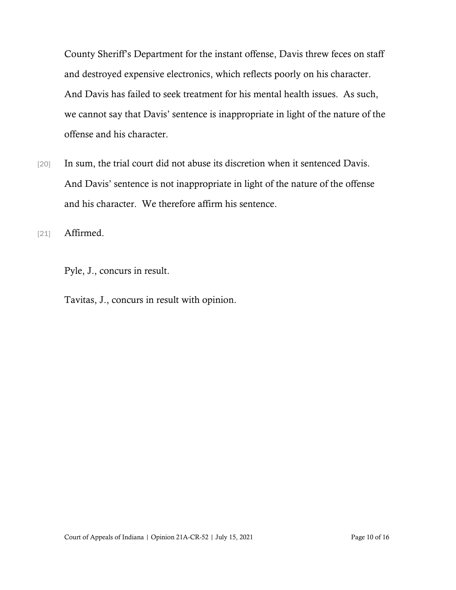County Sheriff's Department for the instant offense, Davis threw feces on staff and destroyed expensive electronics, which reflects poorly on his character. And Davis has failed to seek treatment for his mental health issues. As such, we cannot say that Davis' sentence is inappropriate in light of the nature of the offense and his character.

[20] In sum, the trial court did not abuse its discretion when it sentenced Davis. And Davis' sentence is not inappropriate in light of the nature of the offense and his character. We therefore affirm his sentence.

[21] **Affirmed.** 

Pyle, J., concurs in result.

Tavitas, J., concurs in result with opinion.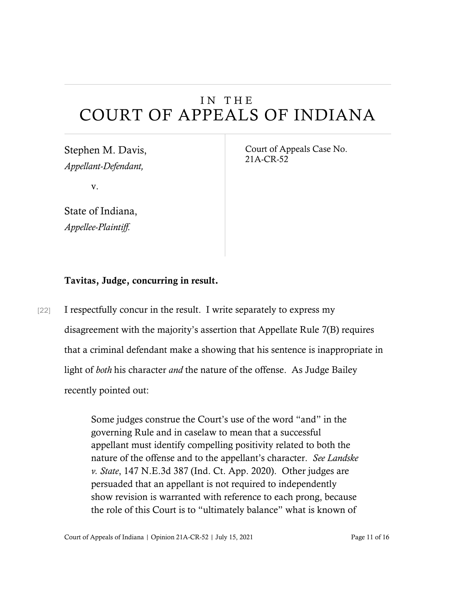# IN THE COURT OF APPEALS OF INDIANA

Stephen M. Davis, *Appellant-Defendant,*

v.

State of Indiana, *Appellee-Plaintiff.*

Court of Appeals Case No. 21A-CR-52

## Tavitas, Judge, concurring in result.

[22] I respectfully concur in the result. I write separately to express my disagreement with the majority's assertion that Appellate Rule 7(B) requires that a criminal defendant make a showing that his sentence is inappropriate in light of *both* his character *and* the nature of the offense. As Judge Bailey recently pointed out:

> Some judges construe the Court's use of the word "and" in the governing Rule and in caselaw to mean that a successful appellant must identify compelling positivity related to both the nature of the offense and to the appellant's character. *See Landske v. State*, 147 N.E.3d 387 (Ind. Ct. App. 2020). Other judges are persuaded that an appellant is not required to independently show revision is warranted with reference to each prong, because the role of this Court is to "ultimately balance" what is known of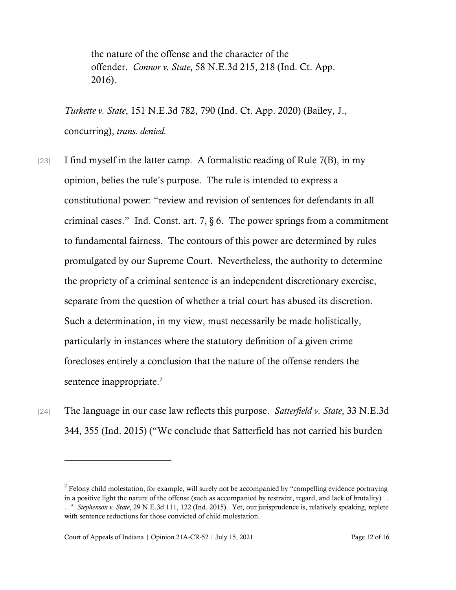the nature of the offense and the character of the offender. *Connor v. State*, 58 N.E.3d 215, 218 (Ind. Ct. App. 2016).

*Turkette v. State*, 151 N.E.3d 782, 790 (Ind. Ct. App. 2020) (Bailey, J., concurring), *trans. denied.*

- [23] I find myself in the latter camp. A formalistic reading of Rule  $7(B)$ , in my opinion, belies the rule's purpose. The rule is intended to express a constitutional power: "review and revision of sentences for defendants in all criminal cases." Ind. Const. art. 7,  $\S 6$ . The power springs from a commitment to fundamental fairness. The contours of this power are determined by rules promulgated by our Supreme Court. Nevertheless, the authority to determine the propriety of a criminal sentence is an independent discretionary exercise, separate from the question of whether a trial court has abused its discretion. Such a determination, in my view, must necessarily be made holistically, particularly in instances where the statutory definition of a given crime forecloses entirely a conclusion that the nature of the offense renders the sentence inappropriate.<sup>[2](#page-11-0)</sup>
- [24] The language in our case law reflects this purpose. *Satterfield v. State*, 33 N.E.3d 344, 355 (Ind. 2015) ("We conclude that Satterfield has not carried his burden

<span id="page-11-0"></span><sup>&</sup>lt;sup>2</sup> Felony child molestation, for example, will surely not be accompanied by "compelling evidence portraying in a positive light the nature of the offense (such as accompanied by restraint, regard, and lack of brutality) . . . ." *Stephenson v. State*, 29 N.E.3d 111, 122 (Ind. 2015). Yet, our jurisprudence is, relatively speaking, replete with sentence reductions for those convicted of child molestation.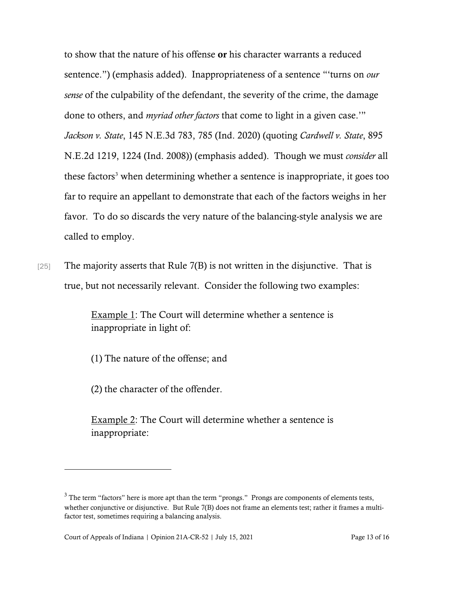to show that the nature of his offense or his character warrants a reduced sentence.") (emphasis added). Inappropriateness of a sentence "'turns on *our sense* of the culpability of the defendant, the severity of the crime, the damage done to others, and *myriad other factors* that come to light in a given case.'" *Jackson v. State*, 145 N.E.3d 783, 785 (Ind. 2020) (quoting *Cardwell v. State*, 895 N.E.2d 1219, 1224 (Ind. 2008)) (emphasis added). Though we must *consider* all these factors<sup>[3](#page-12-0)</sup> when determining whether a sentence is inappropriate, it goes too far to require an appellant to demonstrate that each of the factors weighs in her favor. To do so discards the very nature of the balancing-style analysis we are called to employ.

[25] The majority asserts that Rule  $7(B)$  is not written in the disjunctive. That is true, but not necessarily relevant. Consider the following two examples:

> Example 1: The Court will determine whether a sentence is inappropriate in light of:

(1) The nature of the offense; and

(2) the character of the offender.

Example 2: The Court will determine whether a sentence is inappropriate:

<span id="page-12-0"></span> $3$  The term "factors" here is more apt than the term "prongs." Prongs are components of elements tests, whether conjunctive or disjunctive. But Rule 7(B) does not frame an elements test; rather it frames a multifactor test, sometimes requiring a balancing analysis.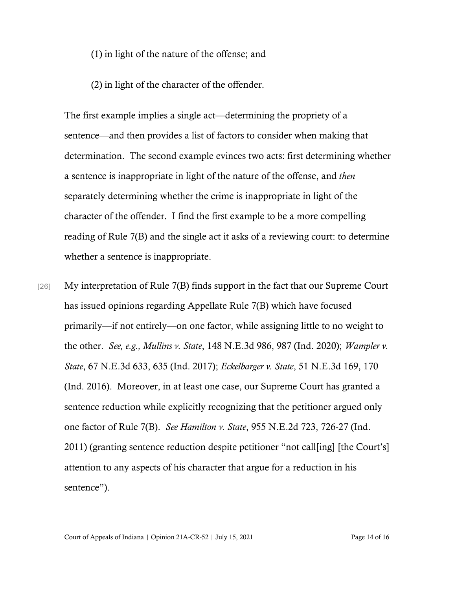- (1) in light of the nature of the offense; and
- (2) in light of the character of the offender.

The first example implies a single act—determining the propriety of a sentence—and then provides a list of factors to consider when making that determination. The second example evinces two acts: first determining whether a sentence is inappropriate in light of the nature of the offense, and *then* separately determining whether the crime is inappropriate in light of the character of the offender. I find the first example to be a more compelling reading of Rule 7(B) and the single act it asks of a reviewing court: to determine whether a sentence is inappropriate.

[26] My interpretation of Rule 7(B) finds support in the fact that our Supreme Court has issued opinions regarding Appellate Rule 7(B) which have focused primarily—if not entirely—on one factor, while assigning little to no weight to the other. *See, e.g., Mullins v. State*, 148 N.E.3d 986, 987 (Ind. 2020); *Wampler v. State*, 67 N.E.3d 633, 635 (Ind. 2017); *Eckelbarger v. State*, 51 N.E.3d 169, 170 (Ind. 2016). Moreover, in at least one case, our Supreme Court has granted a sentence reduction while explicitly recognizing that the petitioner argued only one factor of Rule 7(B). *See Hamilton v. State*, 955 N.E.2d 723, 726-27 (Ind. 2011) (granting sentence reduction despite petitioner "not call[ing] [the Court's] attention to any aspects of his character that argue for a reduction in his sentence").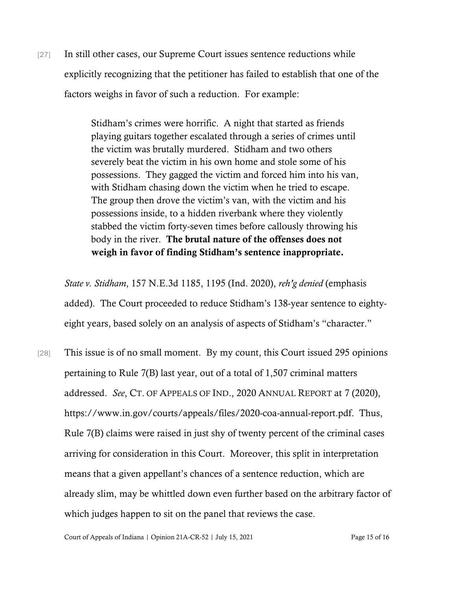[27] In still other cases, our Supreme Court issues sentence reductions while explicitly recognizing that the petitioner has failed to establish that one of the factors weighs in favor of such a reduction. For example:

> Stidham's crimes were horrific. A night that started as friends playing guitars together escalated through a series of crimes until the victim was brutally murdered. Stidham and two others severely beat the victim in his own home and stole some of his possessions. They gagged the victim and forced him into his van, with Stidham chasing down the victim when he tried to escape. The group then drove the victim's van, with the victim and his possessions inside, to a hidden riverbank where they violently stabbed the victim forty-seven times before callously throwing his body in the river. The brutal nature of the offenses does not weigh in favor of finding Stidham's sentence inappropriate.

*State v. Stidham*, 157 N.E.3d 1185, 1195 (Ind. 2020), *reh'g denied* (emphasis added). The Court proceeded to reduce Stidham's 138-year sentence to eightyeight years, based solely on an analysis of aspects of Stidham's "character."

[28] This issue is of no small moment. By my count, this Court issued 295 opinions pertaining to Rule 7(B) last year, out of a total of 1,507 criminal matters addressed. *See*, CT. OF APPEALS OF IND., 2020 ANNUAL REPORT at 7 (2020), https://www.in.gov/courts/appeals/files/2020-coa-annual-report.pdf. Thus, Rule 7(B) claims were raised in just shy of twenty percent of the criminal cases arriving for consideration in this Court. Moreover, this split in interpretation means that a given appellant's chances of a sentence reduction, which are already slim, may be whittled down even further based on the arbitrary factor of which judges happen to sit on the panel that reviews the case.

Court of Appeals of Indiana | Opinion 21A-CR-52 | July 15, 2021 Page 15 of 16